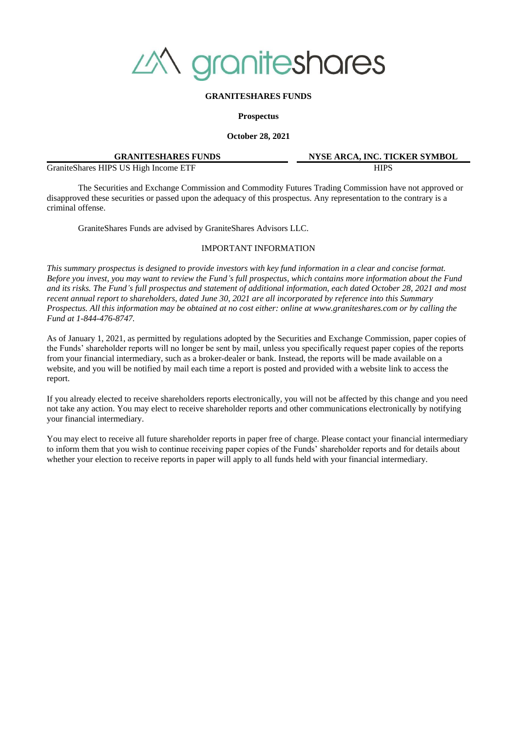

## **GRANITESHARES FUNDS**

**Prospectus**

**October 28, 2021**

| <b>GRANITESHARES FUNDS</b>             | <b>NYSE ARCA. INC. TICKER SYMBOL</b> |
|----------------------------------------|--------------------------------------|
| Granite Shares HIPS US High Income ETF | HIPS                                 |

The Securities and Exchange Commission and Commodity Futures Trading Commission have not approved or disapproved these securities or passed upon the adequacy of this prospectus. Any representation to the contrary is a criminal offense.

GraniteShares Funds are advised by GraniteShares Advisors LLC.

## IMPORTANT INFORMATION

*This summary prospectus is designed to provide investors with key fund information in a clear and concise format. Before you invest, you may want to review the Fund's full prospectus, which contains more information about the Fund and its risks. The Fund's full prospectus and statement of additional information, each dated October 28, 2021 and most recent annual report to shareholders, dated June 30, 2021 are all incorporated by reference into this Summary Prospectus. All this information may be obtained at no cost either: online at www.graniteshares.com or by calling the Fund at 1-844-476-8747.*

As of January 1, 2021, as permitted by regulations adopted by the Securities and Exchange Commission, paper copies of the Funds' shareholder reports will no longer be sent by mail, unless you specifically request paper copies of the reports from your financial intermediary, such as a broker-dealer or bank. Instead, the reports will be made available on a website, and you will be notified by mail each time a report is posted and provided with a website link to access the report.

If you already elected to receive shareholders reports electronically, you will not be affected by this change and you need not take any action. You may elect to receive shareholder reports and other communications electronically by notifying your financial intermediary.

You may elect to receive all future shareholder reports in paper free of charge. Please contact your financial intermediary to inform them that you wish to continue receiving paper copies of the Funds' shareholder reports and for details about whether your election to receive reports in paper will apply to all funds held with your financial intermediary.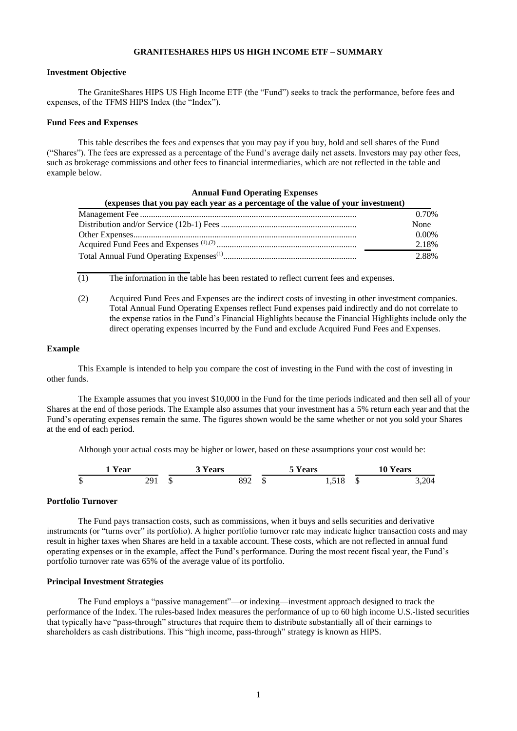# **GRANITESHARES HIPS US HIGH INCOME ETF – SUMMARY**

# **Investment Objective**

The GraniteShares HIPS US High Income ETF (the "Fund") seeks to track the performance, before fees and expenses, of the TFMS HIPS Index (the "Index").

#### **Fund Fees and Expenses**

This table describes the fees and expenses that you may pay if you buy, hold and sell shares of the Fund ("Shares"). The fees are expressed as a percentage of the Fund's average daily net assets. Investors may pay other fees, such as brokerage commissions and other fees to financial intermediaries, which are not reflected in the table and example below.

| <b>Annual Fund Operating Expenses</b>                                             |          |  |  |  |
|-----------------------------------------------------------------------------------|----------|--|--|--|
| (expenses that you pay each year as a percentage of the value of your investment) |          |  |  |  |
|                                                                                   | 0.70%    |  |  |  |
|                                                                                   | None     |  |  |  |
|                                                                                   | $0.00\%$ |  |  |  |
|                                                                                   | 2.18%    |  |  |  |
|                                                                                   | 2.88%    |  |  |  |

(1) The information in the table has been restated to reflect current fees and expenses.

(2) Acquired Fund Fees and Expenses are the indirect costs of investing in other investment companies. Total Annual Fund Operating Expenses reflect Fund expenses paid indirectly and do not correlate to the expense ratios in the Fund's Financial Highlights because the Financial Highlights include only the direct operating expenses incurred by the Fund and exclude Acquired Fund Fees and Expenses.

# **Example**

This Example is intended to help you compare the cost of investing in the Fund with the cost of investing in other funds.

The Example assumes that you invest \$10,000 in the Fund for the time periods indicated and then sell all of your Shares at the end of those periods. The Example also assumes that your investment has a 5% return each year and that the Fund's operating expenses remain the same. The figures shown would be the same whether or not you sold your Shares at the end of each period.

Although your actual costs may be higher or lower, based on these assumptions your cost would be:



## **Portfolio Turnover**

The Fund pays transaction costs, such as commissions, when it buys and sells securities and derivative instruments (or "turns over" its portfolio). A higher portfolio turnover rate may indicate higher transaction costs and may result in higher taxes when Shares are held in a taxable account. These costs, which are not reflected in annual fund operating expenses or in the example, affect the Fund's performance. During the most recent fiscal year, the Fund's portfolio turnover rate was 65% of the average value of its portfolio.

#### **Principal Investment Strategies**

The Fund employs a "passive management"—or indexing—investment approach designed to track the performance of the Index. The rules-based Index measures the performance of up to 60 high income U.S.-listed securities that typically have "pass-through" structures that require them to distribute substantially all of their earnings to shareholders as cash distributions. This "high income, pass-through" strategy is known as HIPS.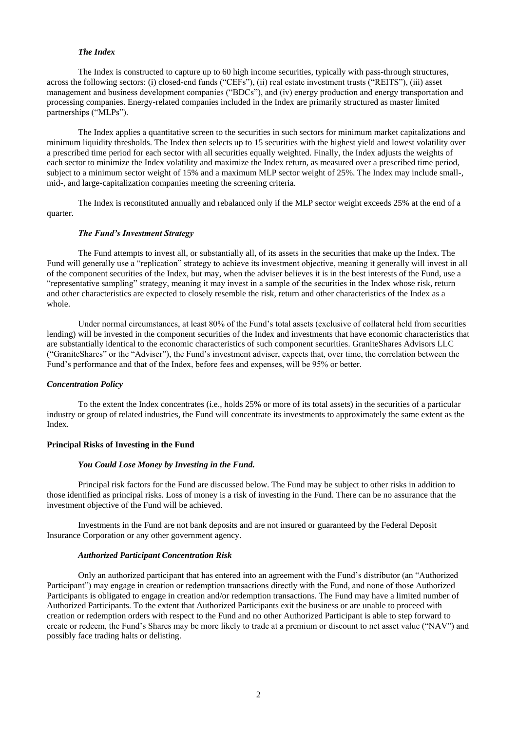# *The Index*

The Index is constructed to capture up to 60 high income securities, typically with pass-through structures, across the following sectors: (i) closed-end funds ("CEFs"), (ii) real estate investment trusts ("REITS"), (iii) asset management and business development companies ("BDCs"), and (iv) energy production and energy transportation and processing companies. Energy-related companies included in the Index are primarily structured as master limited partnerships ("MLPs").

The Index applies a quantitative screen to the securities in such sectors for minimum market capitalizations and minimum liquidity thresholds. The Index then selects up to 15 securities with the highest yield and lowest volatility over a prescribed time period for each sector with all securities equally weighted. Finally, the Index adjusts the weights of each sector to minimize the Index volatility and maximize the Index return, as measured over a prescribed time period, subject to a minimum sector weight of 15% and a maximum MLP sector weight of 25%. The Index may include small-, mid-, and large-capitalization companies meeting the screening criteria.

The Index is reconstituted annually and rebalanced only if the MLP sector weight exceeds 25% at the end of a quarter.

# *The Fund's Investment Strategy*

The Fund attempts to invest all, or substantially all, of its assets in the securities that make up the Index. The Fund will generally use a "replication" strategy to achieve its investment objective, meaning it generally will invest in all of the component securities of the Index, but may, when the adviser believes it is in the best interests of the Fund, use a "representative sampling" strategy, meaning it may invest in a sample of the securities in the Index whose risk, return and other characteristics are expected to closely resemble the risk, return and other characteristics of the Index as a whole.

Under normal circumstances, at least 80% of the Fund's total assets (exclusive of collateral held from securities lending) will be invested in the component securities of the Index and investments that have economic characteristics that are substantially identical to the economic characteristics of such component securities. GraniteShares Advisors LLC ("GraniteShares" or the "Adviser"), the Fund's investment adviser, expects that, over time, the correlation between the Fund's performance and that of the Index, before fees and expenses, will be 95% or better.

# *Concentration Policy*

To the extent the Index concentrates (i.e., holds 25% or more of its total assets) in the securities of a particular industry or group of related industries, the Fund will concentrate its investments to approximately the same extent as the Index.

# **Principal Risks of Investing in the Fund**

#### *You Could Lose Money by Investing in the Fund.*

Principal risk factors for the Fund are discussed below. The Fund may be subject to other risks in addition to those identified as principal risks. Loss of money is a risk of investing in the Fund. There can be no assurance that the investment objective of the Fund will be achieved.

Investments in the Fund are not bank deposits and are not insured or guaranteed by the Federal Deposit Insurance Corporation or any other government agency.

## *Authorized Participant Concentration Risk*

Only an authorized participant that has entered into an agreement with the Fund's distributor (an "Authorized Participant") may engage in creation or redemption transactions directly with the Fund, and none of those Authorized Participants is obligated to engage in creation and/or redemption transactions. The Fund may have a limited number of Authorized Participants. To the extent that Authorized Participants exit the business or are unable to proceed with creation or redemption orders with respect to the Fund and no other Authorized Participant is able to step forward to create or redeem, the Fund's Shares may be more likely to trade at a premium or discount to net asset value ("NAV") and possibly face trading halts or delisting.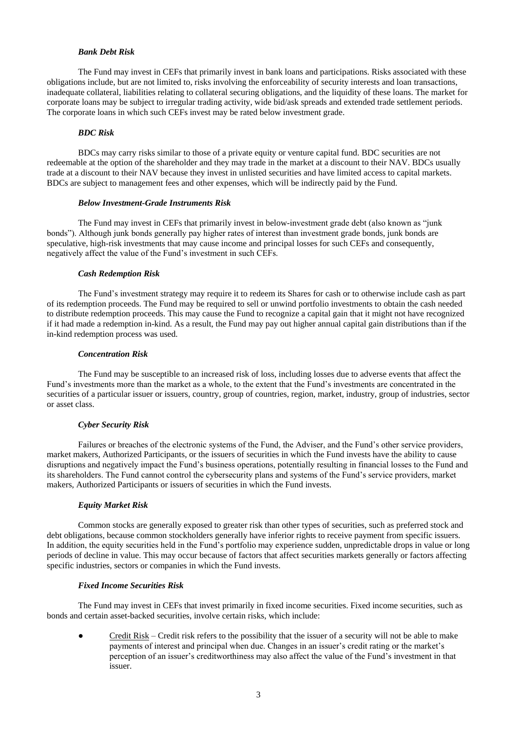# *Bank Debt Risk*

The Fund may invest in CEFs that primarily invest in bank loans and participations. Risks associated with these obligations include, but are not limited to, risks involving the enforceability of security interests and loan transactions, inadequate collateral, liabilities relating to collateral securing obligations, and the liquidity of these loans. The market for corporate loans may be subject to irregular trading activity, wide bid/ask spreads and extended trade settlement periods. The corporate loans in which such CEFs invest may be rated below investment grade.

## *BDC Risk*

BDCs may carry risks similar to those of a private equity or venture capital fund. BDC securities are not redeemable at the option of the shareholder and they may trade in the market at a discount to their NAV. BDCs usually trade at a discount to their NAV because they invest in unlisted securities and have limited access to capital markets. BDCs are subject to management fees and other expenses, which will be indirectly paid by the Fund.

## *Below Investment-Grade Instruments Risk*

The Fund may invest in CEFs that primarily invest in below-investment grade debt (also known as "junk bonds"). Although junk bonds generally pay higher rates of interest than investment grade bonds, junk bonds are speculative, high-risk investments that may cause income and principal losses for such CEFs and consequently, negatively affect the value of the Fund's investment in such CEFs.

## *Cash Redemption Risk*

The Fund's investment strategy may require it to redeem its Shares for cash or to otherwise include cash as part of its redemption proceeds. The Fund may be required to sell or unwind portfolio investments to obtain the cash needed to distribute redemption proceeds. This may cause the Fund to recognize a capital gain that it might not have recognized if it had made a redemption in-kind. As a result, the Fund may pay out higher annual capital gain distributions than if the in-kind redemption process was used.

#### *Concentration Risk*

The Fund may be susceptible to an increased risk of loss, including losses due to adverse events that affect the Fund's investments more than the market as a whole, to the extent that the Fund's investments are concentrated in the securities of a particular issuer or issuers, country, group of countries, region, market, industry, group of industries, sector or asset class.

# *Cyber Security Risk*

Failures or breaches of the electronic systems of the Fund, the Adviser, and the Fund's other service providers, market makers, Authorized Participants, or the issuers of securities in which the Fund invests have the ability to cause disruptions and negatively impact the Fund's business operations, potentially resulting in financial losses to the Fund and its shareholders. The Fund cannot control the cybersecurity plans and systems of the Fund's service providers, market makers, Authorized Participants or issuers of securities in which the Fund invests.

#### *Equity Market Risk*

Common stocks are generally exposed to greater risk than other types of securities, such as preferred stock and debt obligations, because common stockholders generally have inferior rights to receive payment from specific issuers. In addition, the equity securities held in the Fund's portfolio may experience sudden, unpredictable drops in value or long periods of decline in value. This may occur because of factors that affect securities markets generally or factors affecting specific industries, sectors or companies in which the Fund invests.

### *Fixed Income Securities Risk*

The Fund may invest in CEFs that invest primarily in fixed income securities. Fixed income securities, such as bonds and certain asset-backed securities, involve certain risks, which include:

Credit Risk – Credit risk refers to the possibility that the issuer of a security will not be able to make payments of interest and principal when due. Changes in an issuer's credit rating or the market's perception of an issuer's creditworthiness may also affect the value of the Fund's investment in that issuer.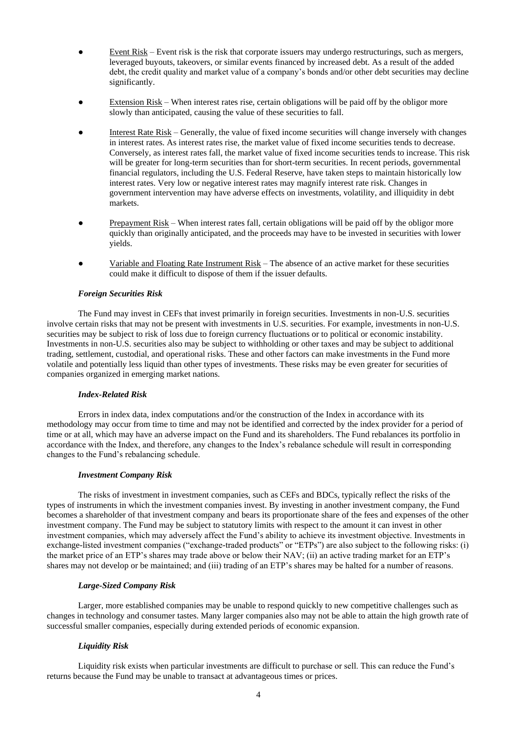- Event  $Risk$  Event risk is the risk that corporate issuers may undergo restructurings, such as mergers, leveraged buyouts, takeovers, or similar events financed by increased debt. As a result of the added debt, the credit quality and market value of a company's bonds and/or other debt securities may decline significantly.
- Extension Risk When interest rates rise, certain obligations will be paid off by the obligor more slowly than anticipated, causing the value of these securities to fall.
- Interest Rate Risk Generally, the value of fixed income securities will change inversely with changes in interest rates. As interest rates rise, the market value of fixed income securities tends to decrease. Conversely, as interest rates fall, the market value of fixed income securities tends to increase. This risk will be greater for long-term securities than for short-term securities. In recent periods, governmental financial regulators, including the U.S. Federal Reserve, have taken steps to maintain historically low interest rates. Very low or negative interest rates may magnify interest rate risk. Changes in government intervention may have adverse effects on investments, volatility, and illiquidity in debt markets.
- Prepayment Risk When interest rates fall, certain obligations will be paid off by the obligor more quickly than originally anticipated, and the proceeds may have to be invested in securities with lower yields.
- Variable and Floating Rate Instrument Risk The absence of an active market for these securities could make it difficult to dispose of them if the issuer defaults.

# *Foreign Securities Risk*

The Fund may invest in CEFs that invest primarily in foreign securities. Investments in non-U.S. securities involve certain risks that may not be present with investments in U.S. securities. For example, investments in non-U.S. securities may be subject to risk of loss due to foreign currency fluctuations or to political or economic instability. Investments in non-U.S. securities also may be subject to withholding or other taxes and may be subject to additional trading, settlement, custodial, and operational risks. These and other factors can make investments in the Fund more volatile and potentially less liquid than other types of investments. These risks may be even greater for securities of companies organized in emerging market nations.

## *Index-Related Risk*

Errors in index data, index computations and/or the construction of the Index in accordance with its methodology may occur from time to time and may not be identified and corrected by the index provider for a period of time or at all, which may have an adverse impact on the Fund and its shareholders. The Fund rebalances its portfolio in accordance with the Index, and therefore, any changes to the Index's rebalance schedule will result in corresponding changes to the Fund's rebalancing schedule.

## *Investment Company Risk*

The risks of investment in investment companies, such as CEFs and BDCs, typically reflect the risks of the types of instruments in which the investment companies invest. By investing in another investment company, the Fund becomes a shareholder of that investment company and bears its proportionate share of the fees and expenses of the other investment company. The Fund may be subject to statutory limits with respect to the amount it can invest in other investment companies, which may adversely affect the Fund's ability to achieve its investment objective. Investments in exchange-listed investment companies ("exchange-traded products" or "ETPs") are also subject to the following risks: (i) the market price of an ETP's shares may trade above or below their NAV; (ii) an active trading market for an ETP's shares may not develop or be maintained; and (iii) trading of an ETP's shares may be halted for a number of reasons.

## *Large-Sized Company Risk*

Larger, more established companies may be unable to respond quickly to new competitive challenges such as changes in technology and consumer tastes. Many larger companies also may not be able to attain the high growth rate of successful smaller companies, especially during extended periods of economic expansion.

# *Liquidity Risk*

Liquidity risk exists when particular investments are difficult to purchase or sell. This can reduce the Fund's returns because the Fund may be unable to transact at advantageous times or prices.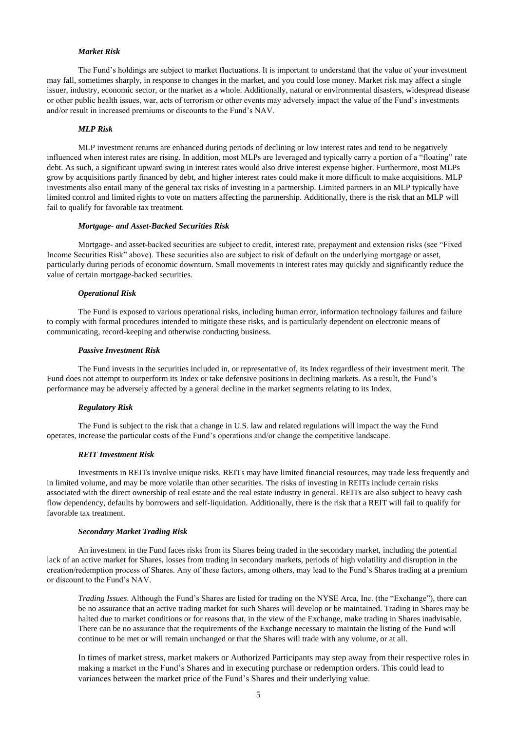# *Market Risk*

The Fund's holdings are subject to market fluctuations. It is important to understand that the value of your investment may fall, sometimes sharply, in response to changes in the market, and you could lose money. Market risk may affect a single issuer, industry, economic sector, or the market as a whole. Additionally, natural or environmental disasters, widespread disease or other public health issues, war, acts of terrorism or other events may adversely impact the value of the Fund's investments and/or result in increased premiums or discounts to the Fund's NAV.

## *MLP Risk*

MLP investment returns are enhanced during periods of declining or low interest rates and tend to be negatively influenced when interest rates are rising. In addition, most MLPs are leveraged and typically carry a portion of a "floating" rate debt. As such, a significant upward swing in interest rates would also drive interest expense higher. Furthermore, most MLPs grow by acquisitions partly financed by debt, and higher interest rates could make it more difficult to make acquisitions. MLP investments also entail many of the general tax risks of investing in a partnership. Limited partners in an MLP typically have limited control and limited rights to vote on matters affecting the partnership. Additionally, there is the risk that an MLP will fail to qualify for favorable tax treatment.

### *Mortgage- and Asset-Backed Securities Risk*

Mortgage- and asset-backed securities are subject to credit, interest rate, prepayment and extension risks (see "Fixed Income Securities Risk" above). These securities also are subject to risk of default on the underlying mortgage or asset, particularly during periods of economic downturn. Small movements in interest rates may quickly and significantly reduce the value of certain mortgage-backed securities.

#### *Operational Risk*

The Fund is exposed to various operational risks, including human error, information technology failures and failure to comply with formal procedures intended to mitigate these risks, and is particularly dependent on electronic means of communicating, record-keeping and otherwise conducting business.

### *Passive Investment Risk*

The Fund invests in the securities included in, or representative of, its Index regardless of their investment merit. The Fund does not attempt to outperform its Index or take defensive positions in declining markets. As a result, the Fund's performance may be adversely affected by a general decline in the market segments relating to its Index.

#### *Regulatory Risk*

The Fund is subject to the risk that a change in U.S. law and related regulations will impact the way the Fund operates, increase the particular costs of the Fund's operations and/or change the competitive landscape.

# *REIT Investment Risk*

Investments in REITs involve unique risks. REITs may have limited financial resources, may trade less frequently and in limited volume, and may be more volatile than other securities. The risks of investing in REITs include certain risks associated with the direct ownership of real estate and the real estate industry in general. REITs are also subject to heavy cash flow dependency, defaults by borrowers and self-liquidation. Additionally, there is the risk that a REIT will fail to qualify for favorable tax treatment.

#### *Secondary Market Trading Risk*

An investment in the Fund faces risks from its Shares being traded in the secondary market, including the potential lack of an active market for Shares, losses from trading in secondary markets, periods of high volatility and disruption in the creation/redemption process of Shares. Any of these factors, among others, may lead to the Fund's Shares trading at a premium or discount to the Fund's NAV.

*Trading Issues*. Although the Fund's Shares are listed for trading on the NYSE Arca, Inc. (the "Exchange"), there can be no assurance that an active trading market for such Shares will develop or be maintained. Trading in Shares may be halted due to market conditions or for reasons that, in the view of the Exchange, make trading in Shares inadvisable. There can be no assurance that the requirements of the Exchange necessary to maintain the listing of the Fund will continue to be met or will remain unchanged or that the Shares will trade with any volume, or at all.

In times of market stress, market makers or Authorized Participants may step away from their respective roles in making a market in the Fund's Shares and in executing purchase or redemption orders. This could lead to variances between the market price of the Fund's Shares and their underlying value.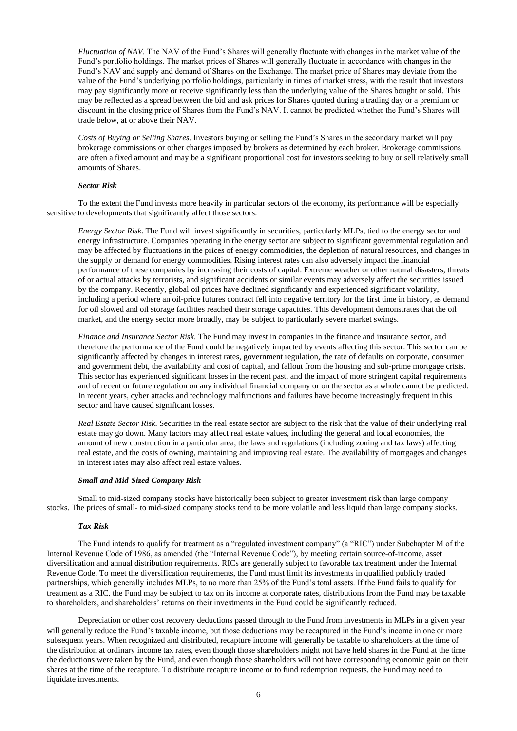*Fluctuation of NAV*. The NAV of the Fund's Shares will generally fluctuate with changes in the market value of the Fund's portfolio holdings. The market prices of Shares will generally fluctuate in accordance with changes in the Fund's NAV and supply and demand of Shares on the Exchange. The market price of Shares may deviate from the value of the Fund's underlying portfolio holdings, particularly in times of market stress, with the result that investors may pay significantly more or receive significantly less than the underlying value of the Shares bought or sold. This may be reflected as a spread between the bid and ask prices for Shares quoted during a trading day or a premium or discount in the closing price of Shares from the Fund's NAV. It cannot be predicted whether the Fund's Shares will trade below, at or above their NAV.

*Costs of Buying or Selling Shares*. Investors buying or selling the Fund's Shares in the secondary market will pay brokerage commissions or other charges imposed by brokers as determined by each broker. Brokerage commissions are often a fixed amount and may be a significant proportional cost for investors seeking to buy or sell relatively small amounts of Shares.

# *Sector Risk*

To the extent the Fund invests more heavily in particular sectors of the economy, its performance will be especially sensitive to developments that significantly affect those sectors.

*Energy Sector Risk*. The Fund will invest significantly in securities, particularly MLPs, tied to the energy sector and energy infrastructure. Companies operating in the energy sector are subject to significant governmental regulation and may be affected by fluctuations in the prices of energy commodities, the depletion of natural resources, and changes in the supply or demand for energy commodities. Rising interest rates can also adversely impact the financial performance of these companies by increasing their costs of capital. Extreme weather or other natural disasters, threats of or actual attacks by terrorists, and significant accidents or similar events may adversely affect the securities issued by the company. Recently, global oil prices have declined significantly and experienced significant volatility, including a period where an oil-price futures contract fell into negative territory for the first time in history, as demand for oil slowed and oil storage facilities reached their storage capacities. This development demonstrates that the oil market, and the energy sector more broadly, may be subject to particularly severe market swings.

*Finance and Insurance Sector Risk*. The Fund may invest in companies in the finance and insurance sector, and therefore the performance of the Fund could be negatively impacted by events affecting this sector. This sector can be significantly affected by changes in interest rates, government regulation, the rate of defaults on corporate, consumer and government debt, the availability and cost of capital, and fallout from the housing and sub-prime mortgage crisis. This sector has experienced significant losses in the recent past, and the impact of more stringent capital requirements and of recent or future regulation on any individual financial company or on the sector as a whole cannot be predicted. In recent years, cyber attacks and technology malfunctions and failures have become increasingly frequent in this sector and have caused significant losses.

*Real Estate Sector Risk*. Securities in the real estate sector are subject to the risk that the value of their underlying real estate may go down. Many factors may affect real estate values, including the general and local economies, the amount of new construction in a particular area, the laws and regulations (including zoning and tax laws) affecting real estate, and the costs of owning, maintaining and improving real estate. The availability of mortgages and changes in interest rates may also affect real estate values.

## *Small and Mid-Sized Company Risk*

Small to mid-sized company stocks have historically been subject to greater investment risk than large company stocks. The prices of small- to mid-sized company stocks tend to be more volatile and less liquid than large company stocks.

#### *Tax Risk*

The Fund intends to qualify for treatment as a "regulated investment company" (a "RIC") under Subchapter M of the Internal Revenue Code of 1986, as amended (the "Internal Revenue Code"), by meeting certain source-of-income, asset diversification and annual distribution requirements. RICs are generally subject to favorable tax treatment under the Internal Revenue Code. To meet the diversification requirements, the Fund must limit its investments in qualified publicly traded partnerships, which generally includes MLPs, to no more than 25% of the Fund's total assets. If the Fund fails to qualify for treatment as a RIC, the Fund may be subject to tax on its income at corporate rates, distributions from the Fund may be taxable to shareholders, and shareholders' returns on their investments in the Fund could be significantly reduced.

Depreciation or other cost recovery deductions passed through to the Fund from investments in MLPs in a given year will generally reduce the Fund's taxable income, but those deductions may be recaptured in the Fund's income in one or more subsequent years. When recognized and distributed, recapture income will generally be taxable to shareholders at the time of the distribution at ordinary income tax rates, even though those shareholders might not have held shares in the Fund at the time the deductions were taken by the Fund, and even though those shareholders will not have corresponding economic gain on their shares at the time of the recapture. To distribute recapture income or to fund redemption requests, the Fund may need to liquidate investments.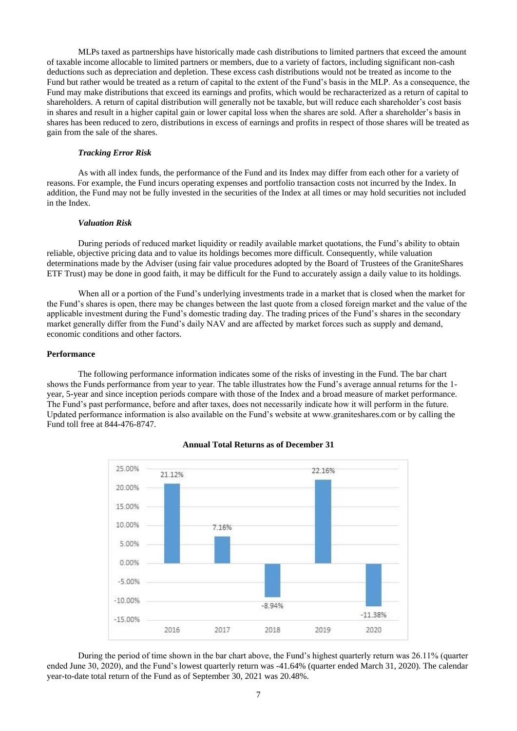MLPs taxed as partnerships have historically made cash distributions to limited partners that exceed the amount of taxable income allocable to limited partners or members, due to a variety of factors, including significant non-cash deductions such as depreciation and depletion. These excess cash distributions would not be treated as income to the Fund but rather would be treated as a return of capital to the extent of the Fund's basis in the MLP. As a consequence, the Fund may make distributions that exceed its earnings and profits, which would be recharacterized as a return of capital to shareholders. A return of capital distribution will generally not be taxable, but will reduce each shareholder's cost basis in shares and result in a higher capital gain or lower capital loss when the shares are sold. After a shareholder's basis in shares has been reduced to zero, distributions in excess of earnings and profits in respect of those shares will be treated as gain from the sale of the shares.

#### *Tracking Error Risk*

As with all index funds, the performance of the Fund and its Index may differ from each other for a variety of reasons. For example, the Fund incurs operating expenses and portfolio transaction costs not incurred by the Index. In addition, the Fund may not be fully invested in the securities of the Index at all times or may hold securities not included in the Index.

# *Valuation Risk*

During periods of reduced market liquidity or readily available market quotations, the Fund's ability to obtain reliable, objective pricing data and to value its holdings becomes more difficult. Consequently, while valuation determinations made by the Adviser (using fair value procedures adopted by the Board of Trustees of the GraniteShares ETF Trust) may be done in good faith, it may be difficult for the Fund to accurately assign a daily value to its holdings.

When all or a portion of the Fund's underlying investments trade in a market that is closed when the market for the Fund's shares is open, there may be changes between the last quote from a closed foreign market and the value of the applicable investment during the Fund's domestic trading day. The trading prices of the Fund's shares in the secondary market generally differ from the Fund's daily NAV and are affected by market forces such as supply and demand, economic conditions and other factors.

### **Performance**

The following performance information indicates some of the risks of investing in the Fund. The bar chart shows the Funds performance from year to year. The table illustrates how the Fund's average annual returns for the 1 year, 5-year and since inception periods compare with those of the Index and a broad measure of market performance. The Fund's past performance, before and after taxes, does not necessarily indicate how it will perform in the future. Updated performance information is also available on the Fund's website at www.graniteshares.com or by calling the Fund toll free at 844-476-8747.



#### **Annual Total Returns as of December 31**

During the period of time shown in the bar chart above, the Fund's highest quarterly return was 26.11% (quarter ended June 30, 2020), and the Fund's lowest quarterly return was -41.64% (quarter ended March 31, 2020). The calendar year-to-date total return of the Fund as of September 30, 2021 was 20.48%.